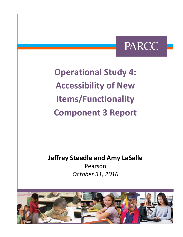# PARCC

**Operational Study 4: Accessibility of New Items/Functionality Component 3 Report**

**Jeffrey Steedle and Amy LaSalle**

Pearson *October 31, 2016*

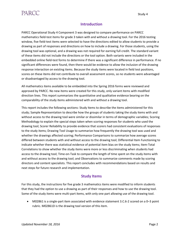## **PARCC**

### **Introduction**

PARCC Operational Study 4 Component 3 was designed to compare performance on PARCC mathematics field-test items for grade 3 taken with and without a drawing tool. For the 2016 testing window, five field-test items were selected to have the directions edited to allow students to provide a drawing as part of responses and directions on how to include a drawing. For those students, using the drawing tool was optional, and a drawing was not required for earning full credit. The standard variant of these items did not include the directions or the tool option. Both variants were included in the embedded online field-test forms to determine if there was a significant difference in performance. If no significant differences were found, then there would be evidence to allow the inclusion of the drawing response interaction on existing items. Because the study items were located in field test positions, scores on these items did not contribute to overall assessment scores, so no students were advantaged or disadvantaged by access to the drawing tool.

All mathematics items available to be embedded into the Spring 2016 forms were reviewed and approved by PARCC. No new items were created for this study, only variant items with modified direction lines. This report summarizes the quantitative and qualitative evidence bearing on the comparability of the study items administered with and without a drawing tool.

This report includes the following sections: Study Items to describe the items administered for this study; Sample Representation to describe how the groups of students taking the study items with and without access to the drawing tool were similar or dissimilar in terms of demographic variables; Scoring Methodology to explain the special steps taken when scoring responses for students who used the drawing tool; Scorer Reliability to provide evidence that scorers had consistent evaluations of responses to the study items; Drawing Tool Usage to summarize how frequently the drawing tool was used and whether the drawings affected scoring; Performance Comparisons to summarize how average scores differed between students with and without access to the drawing tool; Differential Item Functioning to indicate whether there was statistical evidence of potential item bias on the study items; Item-Total Correlations to show whether the study items were more or less discriminating when students had access to the drawing tool; Time-on-Task to compare the length of time spent on the study items with and without access to the drawing tool; and Observations to summarize comments made by scoring directors and content specialists. This report concludes with recommendations based on results and next steps for future research and implementation.

#### **Study Items**

For this study, the instructions for five grade 3 mathematics items were modified to inform students that they had the option to use a drawing as part of their responses and how to use the drawing tool. Some of the study items were multi-part items, with only one part allowing use of the drawing tool.

 M02861 is a single-part item associated with evidence statement 3.C.6-2 scored on a 0–3 point rubric. M02861D is the drawing tool version of this item.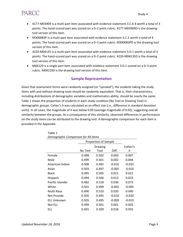# **PARCC**

- 4177-M03909 is a multi-part item associated with evidence statement 3.C.4-4 worth a total of 3 points. The hand-scored part was scored on a 0–2 point rubric. 4177-M03909D is the drawing tool version of this item.
- M300083P is a multi-part item associated with evidence statement 3.C.2 worth a total of 4 points. The hand-scored part was scored on a 0–3 point rubric. M300083PD is the drawing tool version of this item.
- 4220-M04135 is a multi-part item associated with evidence statement 3.D.1 worth a total of 3 points. The hand-scored part was scored on a 0–2 point rubric. 4220-M04135D is the drawing tool version of this item.
- M04129 is a single-part item associated with evidence statement 3.D.1 scored on a 0–3 point rubric. M04129D is the drawing tool version of this item.

#### **Sample Representation**

Given that assessment forms were randomly assigned (or "spiraled"), the students taking the study items with and without drawing tools should be randomly equivalent. That is, their characteristics, including distributions of demographic variables and mathematics ability, should be nearly the same. Table 1 shows the proportion of students in each study condition (No Tool or Drawing Tool) in demographic groups. Cohen's *h* was calculated as an effect size (i.e., difference in standard deviation units). In all cases, the magnitude of *h* was below 0.09 (average magnitude of 0.02), suggesting overall similarity between the groups. As a consequence of this similarity, observed differences in performance on the study items can be attributed to the drawing tool. A demographic comparison for each item is provided in the Appendix.

|                    | Proportion of Sample |         |          |          |  |  |  |
|--------------------|----------------------|---------|----------|----------|--|--|--|
|                    |                      | Drawing |          |          |  |  |  |
|                    | No Tool              | Tool    | Diff.    | h        |  |  |  |
| Female             | 0.498                | 0.502   | 0.003    | 0.007    |  |  |  |
| Male               | 0.499                | 0.501   | 0.002    | 0.004    |  |  |  |
| American Indian    | 0.508                | 0.492   | $-0.016$ | $-0.033$ |  |  |  |
| Asian              | 0.503                | 0.497   | $-0.005$ | $-0.010$ |  |  |  |
| <b>Black</b>       | 0.495                | 0.505   | 0.011    | 0.022    |  |  |  |
| Hispanic           | 0.494                | 0.506   | 0.012    | 0.023    |  |  |  |
| Pacific Islander   | 0.482                | 0.518   | 0.036    | 0.073    |  |  |  |
| White              | 0.501                | 0.499   | $-0.002$ | $-0.005$ |  |  |  |
| Multi-Race         | 0.490                | 0.510   | 0.020    | 0.040    |  |  |  |
| Not Provide        | 0.505                | 0.495   | $-0.010$ | $-0.020$ |  |  |  |
| <b>ELL Unknown</b> | 0.505                | 0.495   | $-0.009$ | $-0.019$ |  |  |  |
| Not ELL            | 0.499                | 0.501   | 0.001    | 0.003    |  |  |  |
| ELL                | 0.491                | 0.509   | 0.018    | 0.035    |  |  |  |

Table 1 *Demographic Comparison for All Items*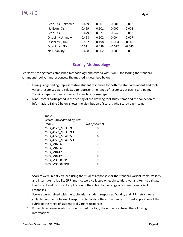| Econ. Dis. Unknown        | 0.499 | 0.501 | 0.001    | 0.002    |
|---------------------------|-------|-------|----------|----------|
| No Econ. Dis.             | 0.499 | 0.501 | 0.002    | 0.003    |
| Econ. Dis.                | 0.479 | 0.521 | 0.042    | 0.083    |
| <b>Disability Unknown</b> | 0.498 | 0.502 | 0.004    | 0.007    |
| Disability (504)          | 0.502 | 0.498 | $-0.004$ | $-0.007$ |
| Disability (IEP)          | 0.511 | 0.489 | $-0.022$ | $-0.045$ |
| No Disability             | 0.498 | 0.502 | 0.005    | 0.010    |

### **Scoring Methodology**

Pearson's scoring team established methodology and criteria with PARCC for scoring the standard variant and tool variant responses. The method is described below.

- 1. During rangefinding, representative student responses for both the standard-variant and toolvariant responses were selected to represent the range of responses at each score point. Training paper sets were created for each response type.
- 2. Nine scorers participated in the scoring of the drawing tool study items and the collection of information. Table 2 below shows the distribution of scorers who scored each item.

| Table 2                      |               |
|------------------------------|---------------|
| Scorer Participation by Item |               |
| Item ID                      | No of Scorers |
| M03 4177 M03909              | 8             |
| M03 4177 M03909D             | 7             |
| M03 4220 M04135              | 6             |
| M03 4220 M04135D             | 7             |
| M03 M02861                   | 7             |
| M03 M02861D                  | 7             |
| M03 M04129                   | 9             |
| M03 M04129D                  | 8             |
| M03 M300083P                 | 9             |
| M03 M300083PD                | q             |

- 3. Scorers were initially trained using the student responses for the standard variant items. Validity and inter-rater reliability (IRR) metrics were collected on each standard-variant item to validate the correct and consistent application of the rubric to the range of student non-variant responses.
- 4. Scorers were trained with the tool-variant student responses. Validity and IRR metrics were collected on the tool-variant responses to validate the correct and consistent application of the rubric to the range of student tool-variant responses.
- 5. For each response in which students used the tool, the scorers captured the following information: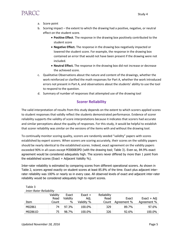

- a. Score point
- b. Scoring impact the extent to which the drawing had a positive, negative, or neutral effect on the student score.
	- **Positive Effect**. The response in the drawing box positively contributed to the student score
	- **Negative Effect.** The response in the drawing box negatively impacted or lowered the student score. For example, the response in the drawing box contained an error that would not have been present if the drawing were not included.
	- **Neutral Effect.** The response in the drawing box did not increase or decrease the achieved score.
- c. Qualitative Observations about the nature and content of the drawings, whether the work reinforced or clarified the math responses for Part A, whether the work introduced errors not present in Part A, and observations about the students' ability to use the tool to respond to the question.
- d. Summary of number of responses that attempted use of the drawing tool

#### **Scorer Reliability**

The valid interpretation of results from this study depends on the extent to which scorers applied scores to student responses that validly reflect the students demonstrated performance. Evidence of scorer reliability supports the validity of score interpretations because it indicates that scorers had accurate and similar perceptions about the quality of responses. For this study, it would be helpful to establish that scorer reliability was similar on the versions of the items with and without the drawing tool.

To continually monitor scoring quality, scorers are randomly seeded "validity" papers with scores established by expert scorers. When scorers are scoring accurately, their scores on the validity papers should be nearly identical to the established scores. Indeed, exact agreement on the validity papers exceeded 90% in all cases except M300083PD (with the drawing tool; Table 3). Even so, 84.9% exact agreement would be considered adequately high. The scorers never differed by more than 1 point from the established scores (Exact  $+$  Adjacent Validity %).

Inter-rater reliability is estimated by comparing scores from different operational scorers. As shown in Table 2, scorers agreed exactly on student scores at least 85.8% of the time. Exact plus adjacent interrater reliability was 100% or nearly so in every case. All observed levels of exact and adjacent inter-rater reliability would be considered adequately high to report scores.

| <b>Inter-Rater Reliability</b> |          |          |            |             |             |               |
|--------------------------------|----------|----------|------------|-------------|-------------|---------------|
|                                | Validity | Exact    | $Exact +$  | Reliability |             |               |
|                                | Read     | Validity | Adj.       | Read        | Exact       | $Exact + Adj$ |
| Item                           | Count    | %        | Validity % | Count       | Agreement % | Agreement %   |
| M02861                         | 74       | 97.3%    | 100.0%     | 329         | 89.7%       | 97.6%         |
| M02861D                        | 75       | 98.7%    | 100.0%     | 326         | 92.6%       | 100.0%        |

Table 3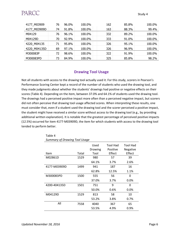| 4177 M03909  | 76 | 96.0% | 100.0% | 162 | 85.8% | 100.0% |
|--------------|----|-------|--------|-----|-------|--------|
| 4177 M03909D | 74 | 91.8% | 100.0% | 163 | 88.3% | 99.4%  |
| M04129       | 76 | 96.1% | 100.0% | 332 | 89.2% | 100.0% |
| M04129D      | 70 | 92.9% | 100.0% | 333 | 91.0% | 100.0% |
| 4220 M04135  | 71 | 95.8% | 100.0% | 326 | 95.1% | 100.0% |
| 4220 M04135D | 69 | 97.1% | 100.0% | 326 | 96.9% | 100.0% |
| M300083P     | 72 | 98.6% | 100.0% | 322 | 91.9% | 100.0% |
| M300083PD    | 73 | 84.9% | 100.0% | 325 | 85.8% | 98.2%  |

#### **Drawing Tool Usage**

Not all students with access to the drawing tool actually used it. For this study, scorers in Pearson's Performance Scoring Center kept a record of the number of students who used the drawing tool, and they made judgments about whether the students' drawings had positive or negative effects on their scores (Table 4). Depending on the item, between 37.0% and 64.1% of students used the drawing tool. The drawings had a perceived positive impact more often than a perceived negative impact, but scorers did not often perceive that drawing tool usage affected scores. When interpreting these results, one must consider that, even if a student used the drawing tool and the scorer perceived a positive impact, the student might have received a similar score without access to the drawing tool (e.g., by providing additional written explanation). It is notable that the greatest percentage of perceived positive impacts (12.5%) occurred for item 4177-M03909D, the item for which students with access to the drawing tool tended to perform better.

| anninary of Draming Tool Osage |       |                         |                                       |                                       |
|--------------------------------|-------|-------------------------|---------------------------------------|---------------------------------------|
| Item                           | Total | Used<br>Drawing<br>Tool | <b>Tool Had</b><br>Positive<br>Effect | <b>Tool Had</b><br>Negative<br>Effect |
| M02861D                        | 1529  | 980                     | 57                                    | 39                                    |
|                                |       | 64.1%                   | 3.7%                                  | 2.6%                                  |
| 4177-M03909D                   | 1499  | 941                     | 187                                   | 16                                    |
|                                |       | 62.8%                   | 12.5%                                 | 1.1%                                  |
| M300083PD                      | 1500  | 555                     | 56                                    | 0                                     |
|                                |       | 37.0%                   | 3.7%                                  | 0.0%                                  |
| 4200-404135D                   | 1501  | 751                     | 9                                     | 0                                     |
|                                |       | 50.0%                   | 0.6%                                  | 0.0%                                  |
| M04129D                        | 1529  | 813                     | 58                                    | 10                                    |
|                                |       | 53.2%                   | 3.8%                                  | 0.7%                                  |
| All                            | 7558  | 4040                    | 367                                   | 65                                    |
|                                |       | 53.5%                   | 4.9%                                  | 0.9%                                  |

| Table 4                              |
|--------------------------------------|
| <b>Summary of Drawing Tool Usage</b> |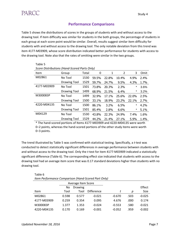### **Performance Comparisons**

Table 5 shows the distributions of scores in the groups of students with and without access to the drawing tool. If item difficulty was similar for students in the both groups, the percentage of students in each group at each score point would be similar. Overall, results suggest similar item difficulty for students with and without access to the drawing tool. The only notable deviation from this trend was item 4177-M03909, whose score distribution indicated better performance for students with access to the drawing tool. Note also that the rates of omitting were similar in the two groups.

| Table 5                                      |                     |       |       |       |                |       |      |
|----------------------------------------------|---------------------|-------|-------|-------|----------------|-------|------|
| Score Distributions (Hand-Scored Parts Only) |                     |       |       |       |                |       |      |
| <b>Item</b>                                  | Group               | Total | 0     | 1     | $\overline{2}$ | 3     | Omit |
| M02861                                       | No Tool             | 1530  | 59.5% | 22.8% | 10.4%          | 4.9%  | 2.4% |
|                                              | <b>Drawing Tool</b> | 1529  | 59.7% | 24.7% | 9.5%           | 4.3%  | 1.7% |
| 4177-M03909                                  | No Tool             | 1501  | 73.8% | 20.3% | 2.3%           | *     | 3.6% |
|                                              | <b>Drawing Tool</b> | 1499  | 68.9% | 21.5% | 6.4%           | *     | 3.2% |
| M300083P                                     | No Tool             | 1499  | 32.9% | 17.1% | 25.6%          | 22.0% | 2.5% |
|                                              | <b>Drawing Tool</b> | 1500  | 33.1% | 18.9% | 23.2%          | 22.1% | 2.7% |
| 4220-M04135                                  | No Tool             | 1500  | 86.1% | 3.2%  | 6.5%           | *     | 4.2% |
|                                              | <b>Drawing Tool</b> | 1501  | 85.4% | 2.8%  | 6.6%           | *     | 5.1% |
| M04129                                       | No Tool             | 1530  | 43.8% | 22.3% | 24.9%          | 7.4%  | 1.6% |
|                                              | Drawing Tool        | 1529  | 44.2% | 21.4% | 27.1%          | 5.9%  | 1.4% |

\* The hand-scored portions of Items 4177-M03909 and 4220-M04135 were worth 0–2 points, whereas the hand-scored portions of the other study items were worth 0–3 points.

The trend illustrated by Table 5 was confirmed with statistical testing. Specifically, a *t*-test was conducted to detect statistically significant differences in average performance between students with and without access to the drawing tool. Only the *t*-test for item 4177-M03909 indicated a statistically significant difference (Table 6). The corresponding effect size indicated that students with access to the drawing tool had an average item score that was 0.17 standard deviations higher than students with no drawing tool.

| e e<br>I | ×<br>۰, |  |
|----------|---------|--|
|          |         |  |

*Item Performance Comparison (Hand-Scored Part Only)*

|             | Average Item Score |         |                   |          |      |          |
|-------------|--------------------|---------|-------------------|----------|------|----------|
|             | No                 | Drawing |                   |          |      | Effect   |
| Item        | Tool               | Tool    | <b>Difference</b> |          | Ŋ    | Size     |
| M02861      | 0.598              | 0.577   | $-0.021$          | $-0.670$ | .503 | $-0.025$ |
| 4177-M03909 | 0.259              | 0.354   | 0.095             | 4.676    | .000 | 0.174    |
| M300083P    | 1.377              | 1.353   | $-0.024$          | $-0.553$ | .580 | $-0.021$ |
| 4220-M04135 | 0.170              | 0.169   | $-0.001$          | $-0.052$ | .959 | $-0.002$ |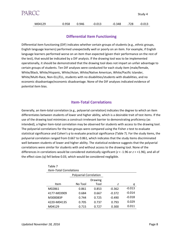| PARCC  |       |       |          |        |      | Study 4  |
|--------|-------|-------|----------|--------|------|----------|
| M04129 | 0.958 | 0.946 | $-0.013$ | -0.348 | .728 | $-0.013$ |

#### **Differential Item Functioning**

Differential item functioning (DIF) indicates whether certain groups of students (e.g., ethnic groups, English language learners) performed unexpectedly well or poorly on an item. For example, if English language learners performed worse on an item than expected (given their performance on the rest of the test), that would be indicated by a DIF analysis. If the drawing tool was to be implemented operationally, it should be demonstrated that the drawing tool does not impart an unfair advantage to certain groups of students. Ten DIF analyses were conducted for each study item (male/female, White/Black, White/Hispanic, White/Asian, White/Native American, White/Pacific Islander, White/Multi-Race, Non-ELL/ELL, students with no disabilities/students with disabilities, and no economic disadvantage/economic disadvantage. None of the DIF analyses indicated evidence of potential item bias.

#### **Item-Total Correlations**

Generally, an item-total correlation (e.g., polyserial correlation) indicates the degree to which an item differentiates between students of lower and higher ability, which is a desirable trait of test items. If the use of the drawing tool minimizes a construct-irrelevant barrier to demonstrating proficiency (as intended), a higher item-total correlation may be observed for students with access to the drawing tool. The polyserial correlations for the two groups were compared using the Fisher *z*-test to evaluate statistical significance and Cohen's *q* to evaluate practical significance (Table 7). For the study items, the polyserial correlation ranged from 0.667 to 0.861, which indicates that the study items discriminated well between students of lower and higher ability. The statistical evidence suggests that the polyserial correlations were similar for students with and without access to the drawing tool. None of the differences in correlations would be considered statistically significant (*z* < -1.96 or *z* > +1.96), and all of the effect sizes (q) fell below 0.03, which would be considered negligible.

| <b>Item-Total Correlations</b> |                               |         |          |          |  |  |
|--------------------------------|-------------------------------|---------|----------|----------|--|--|
|                                | <b>Polyserial Correlation</b> |         |          |          |  |  |
|                                |                               | Drawing |          |          |  |  |
| Item                           | No Tool                       | Tool    | 7        | q        |  |  |
| M02861                         | 0.861                         | 0.853   | $-0.362$ | $-0.013$ |  |  |
| 4177-M03909                    | 0.684                         | 0.667   | $-0.372$ | $-0.014$ |  |  |
| M300083P                       | 0.744                         | 0.725   | $-0.490$ | $-0.018$ |  |  |
| 4220-M04135                    | 0.705                         | 0.737   | 0.793    | 0.029    |  |  |
| M04129                         | 0.715                         | 0.727   | 0.300    | 0.011    |  |  |

Table 7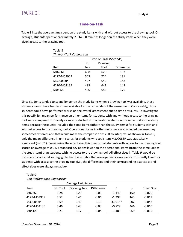### **Time-on-Task**

Table 8 lists the average time spent on the study items with and without access to the drawing tool. On average, students spent approximately 2.5 to 3.0 minutes longer on the study items when they were given access to the drawing tool.

| Table 8                 |      |                        |                   |  |  |  |  |
|-------------------------|------|------------------------|-------------------|--|--|--|--|
| Time-on-Task Comparison |      |                        |                   |  |  |  |  |
|                         |      | Time-on-Task (Seconds) |                   |  |  |  |  |
|                         | No   | <b>Drawing</b>         |                   |  |  |  |  |
| Item                    | Tool | Tool                   | <b>Difference</b> |  |  |  |  |
| M02861                  | 458  | 625                    | 167               |  |  |  |  |
| 4177-M03909             | 543  | 724                    | 181               |  |  |  |  |
| M300083P                | 497  | 645                    | 148               |  |  |  |  |
| 4220-M04135             | 493  | 641                    | 148               |  |  |  |  |
| M04129                  | 480  | 656                    | 176               |  |  |  |  |

Since students tended to spend longer on the study items when a drawing tool was available, those students would have had less time available for the remainder of the assessment. Conceivably, those students could have performed worse on the overall assessment due to time pressures. To investigate this possibility, mean performance on other items for students with and without access to the drawing tool were compared. This analysis was conducted with operational items in the same unit as the study items because these units included the same items (other than the study items) for students with and without access to the drawing tool. Operational items in other units were not included because they sometimes differed, and that would make the comparison difficult to interpret. As shown in Table 9, only the mean difference in unit scores for students who took item M300083P was statistically significant (*p* < .01). Considering the effect size, this means that students with access to the drawing tool scored an average of 0.0423 standard deviations lower on the operational items (from the same unit as the study item) than students with no access to the drawing tool. All effect sizes in Table 9 would be considered very small or negligible, but it is notable that average unit scores were consistently lower for students with access to the drawing tool (i.e., the differences and their corresponding *t* statistics and effect sizes were always negative).

| onne rerjormance comparison |                           |              |                   |            |      |                    |
|-----------------------------|---------------------------|--------------|-------------------|------------|------|--------------------|
|                             | <b>Average Unit Score</b> |              |                   |            |      |                    |
| <b>Item</b>                 | No Tool                   | Drawing Tool | <b>Difference</b> |            | p    | <b>Effect Size</b> |
| M02861                      | 6.28                      | 6.23         | $-0.05$           | $-1.440$   | .150 | $-0.020$           |
| 4177-M03909                 | 5.52                      | 5.46         | $-0.06$           | $-1.397$   | .163 | $-0.019$           |
| M300083P                    | 5.59                      | 5.46         | $-0.13$           | $-3.091**$ | .002 | $-0.042$           |
| 4220-M04135                 | 5.46                      | 5.43         | $-0.03$           | $-0.729$   | .466 | $-0.010$           |
| M04129                      | 6.21                      | 6.17         | $-0.04$           | $-1.105$   | .269 | $-0.015$           |

Table 9 *Unit Performance Comparison*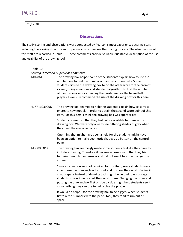

\*\* *p* < .01

#### **Observations**

The study scoring and observations were conducted by Pearson's most experienced scoring staff, including the scoring directors and supervisors who oversee the scoring process. The observations of this staff are recorded in Table 10. These comments provide valuable qualitative description of the use and usability of the drawing tool.

| Table 10     |                                                                                                                                                                                                                                                                                                                                                                                                                                                                                         |
|--------------|-----------------------------------------------------------------------------------------------------------------------------------------------------------------------------------------------------------------------------------------------------------------------------------------------------------------------------------------------------------------------------------------------------------------------------------------------------------------------------------------|
| M02861D      | <b>Scoring Director &amp; Supervisor Comments</b><br>The drawing box helped some of the students explain how to use the<br>number line to find the number of minutes in three sets. Some<br>students did use the drawing box to do the other work for the prompt<br>as well, doing equations and standard algorithms to find the number<br>of minutes in a set or in finding the finish time for the basketball<br>players. I would recommend the use of the drawing box for this item. |
| 4177-M03909D | The drawing box seemed to help the students explain how to correct<br>or create new models in order to obtain the second score point of this<br>item. For this item, I think the drawing box was appropriate.                                                                                                                                                                                                                                                                           |
|              | Students referenced that they had colors available to them in the<br>drawing box. We were only able to see differing shades of grey when<br>they used the available colors.                                                                                                                                                                                                                                                                                                             |
|              | One thing that might have been a help for the students might have<br>been an option to make geometric shapes as a button on the control<br>panel.                                                                                                                                                                                                                                                                                                                                       |
| M300083PD    | The drawing box seemingly made some students feel like they have to<br>include a drawing. Therefore it became an exercise in that they tried<br>to make it match their answer and did not use it to explain or get the<br>answer.                                                                                                                                                                                                                                                       |
|              | Since an equation was not required for this item, some students were<br>able to use the drawing box to count and to show their work. Calling it<br>a work space instead of drawing tool might be helpful to encourage<br>students to continue or start their work there. Changing the order and<br>putting the drawing box first or side by side might help students see it<br>as something they can use to help solve the problem.                                                     |
|              | It would be helpful for the drawing box to be bigger. When students<br>try to write numbers with the pencil tool, they tend to run out of<br>space.                                                                                                                                                                                                                                                                                                                                     |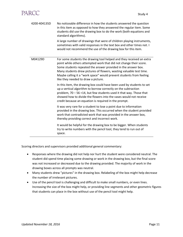| 4200-404135D | No noticeable difference in how the students answered the question<br>in this item as opposed to how they answered the regular item. Some<br>students did use the drawing box to do the work (both equations and<br>standard algorithms).                                                                                                                                                        |  |  |  |
|--------------|--------------------------------------------------------------------------------------------------------------------------------------------------------------------------------------------------------------------------------------------------------------------------------------------------------------------------------------------------------------------------------------------------|--|--|--|
|              | A large number of drawings that were of children playing instruments,<br>sometimes with valid responses in the text box and other times not. I<br>would not recommend the use of the drawing box for this item.                                                                                                                                                                                  |  |  |  |
| M04129D      | For some students the drawing tool helped and they received an extra<br>point while others attempted work that did not change their score.<br>Some students repeated the answer provided in the answer box.<br>Many students drew pictures of flowers, wasting valuable test time.<br>Maybe calling it a "work space" would prevent students from feeling<br>like they needed to draw a picture. |  |  |  |
|              | In this item, the drawing box could have been used by students to set<br>up a vertical algorithm to borrow correctly on the subtraction<br>problem, 70 - 56 = 14, but few students used it that way. Those that<br>showed how to divide the flowers into the vases would not receive<br>credit because an equation is required in the prompt.                                                    |  |  |  |
|              | It was very rare for a student to lose a point due to information<br>provided in the drawing box. This occurred when the student provided<br>work that contradicted work that was provided in the answer box,<br>thereby providing correct and incorrect work.                                                                                                                                   |  |  |  |
|              | It would be helpful for the drawing box to be bigger. When students<br>try to write numbers with the pencil tool, they tend to run out of<br>space.                                                                                                                                                                                                                                              |  |  |  |

Scoring directors and supervisors provided additional general commentary:

- Responses where the drawing did not help nor hurt the student were considered neutral. The student did spend time placing some drawing or work in the drawing box, but the final score was not increased or decreased due to the drawing provided. The majority of work in the drawing boxes across all prompts was neutral.
- Many students drew "pictures" in the drawing box. Relabeling of the box might help decrease the number of irrelevant pictures.
- Use of the pencil tool is challenging and difficult to make small numbers, or even lines. Increasing the size of the box might help, or providing line segments and other geometric figures that students can place in the box without use of the pencil tool might help.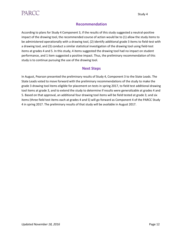

#### **Recommendation**

According to plans for Study 4 Component 3, if the results of this study suggested a neutral-positive impact of the drawing tool, the recommended course of action would be to (1) allow the study items to be administered operationally with a drawing tool, (2) identify additional grade 3 items to field-test with a drawing tool, and (3) conduct a similar statistical investigation of the drawing tool using field-test items at grades 4 and 5. In this study, 4 items suggested the drawing tool had no impact on student performance, and 1 item suggested a positive impact. Thus, the preliminary recommendation of this study is to continue pursuing the use of the drawing tool.

#### **Next Steps**

In August, Pearson presented the preliminary results of Study 4, Component 3 to the State Leads. The State Leads voted to move forward with the preliminary recommendations of the study to make the grade 3 drawing tool items eligible for placement on tests in spring 2017, to field test additional drawing tool items at grade 3, and to extend the study to determine if results were generalizable at grades 4 and 5. Based on that approval, an additional four drawing tool items will be field tested at grade 3; and six items (three field test items each at grades 4 and 5) will go forward as Component 4 of the PARCC Study 4 in spring 2017. The preliminary results of that study will be available in August 2017.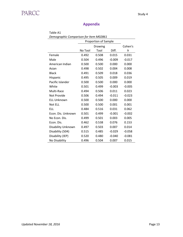### **Appendix**

| Table A1                               |         |                      |          |          |  |  |
|----------------------------------------|---------|----------------------|----------|----------|--|--|
| Demographic Comparison for Item M02861 |         |                      |          |          |  |  |
|                                        |         | Proportion of Sample |          |          |  |  |
|                                        |         | Drawing              |          | Cohen's  |  |  |
|                                        | No Tool | Tool                 | Diff.    | h        |  |  |
| Female                                 | 0.492   | 0.508                | 0.015    | 0.031    |  |  |
| Male                                   | 0.504   | 0.496                | $-0.009$ | $-0.017$ |  |  |
| American Indian                        | 0.500   | 0.500                | 0.000    | 0.000    |  |  |
| Asian                                  | 0.498   | 0.502                | 0.004    | 0.008    |  |  |
| <b>Black</b>                           | 0.491   | 0.509                | 0.018    | 0.036    |  |  |
| Hispanic                               | 0.495   | 0.505                | 0.009    | 0.019    |  |  |
| Pacific Islander                       | 0.500   | 0.500                | 0.000    | 0.000    |  |  |
| White                                  | 0.501   | 0.499                | $-0.003$ | $-0.005$ |  |  |
| Multi-Race                             | 0.494   | 0.506                | 0.011    | 0.023    |  |  |
| Not Provide                            | 0.506   | 0.494                | $-0.011$ | $-0.023$ |  |  |
| <b>ELL Unknown</b>                     | 0.500   | 0.500                | 0.000    | 0.000    |  |  |
| Not ELL                                | 0.500   | 0.500                | 0.001    | 0.001    |  |  |
| <b>ELL</b>                             | 0.484   | 0.516                | 0.031    | 0.062    |  |  |
| Econ. Dis. Unknown                     | 0.501   | 0.499                | $-0.001$ | $-0.002$ |  |  |
| No Econ. Dis.                          | 0.499   | 0.501                | 0.003    | 0.005    |  |  |
| Econ. Dis.                             | 0.462   | 0.538                | 0.076    | 0.153    |  |  |
| Disability Unknown                     | 0.497   | 0.503                | 0.007    | 0.014    |  |  |
| Disability (504)                       | 0.515   | 0.485                | $-0.029$ | $-0.058$ |  |  |
| Disability (IEP)                       | 0.520   | 0.480                | $-0.040$ | $-0.081$ |  |  |
| No Disability                          | 0.496   | 0.504                | 0.007    | 0.015    |  |  |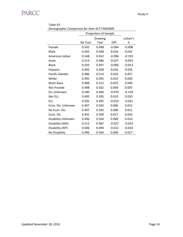| Demographic Comparison for Item 4177-M03909 |         |                      |          |          |  |
|---------------------------------------------|---------|----------------------|----------|----------|--|
|                                             |         | Proportion of Sample |          |          |  |
|                                             |         | Drawing              |          | Cohen's  |  |
|                                             | No Tool | Tool                 | Diff.    | h        |  |
| Female                                      | 0.502   | 0.498                | $-0.004$ | $-0.008$ |  |
| Male                                        | 0.492   | 0.508                | 0.016    | 0.032    |  |
| American Indian                             | 0.548   | 0.452                | $-0.096$ | $-0.193$ |  |
| Asian                                       | 0.514   | 0.486                | $-0.027$ | $-0.055$ |  |
| <b>Black</b>                                | 0.503   | 0.497                | $-0.006$ | $-0.013$ |  |
| Hispanic                                    | 0.492   | 0.508                | 0.016    | 0.033    |  |
| Pacific Islander                            | 0.486   | 0.514                | 0.029    | 0.057    |  |
| White                                       | 0.495   | 0.505                | 0.010    | 0.020    |  |
| Multi-Race                                  | 0.488   | 0.512                | 0.025    | 0.049    |  |
| Not Provide                                 | 0.498   | 0.502                | 0.004    | 0.007    |  |
| <b>ELL Unknown</b>                          | 0.540   | 0.460                | $-0.079$ | $-0.159$ |  |
| Not ELL                                     | 0.495   | 0.505                | 0.010    | 0.020    |  |
| <b>ELL</b>                                  | 0.505   | 0.495                | $-0.010$ | $-0.021$ |  |
| Econ. Dis. Unknown                          | 0.497   | 0.503                | 0.006    | 0.012    |  |
| No Econ. Dis.                               | 0.497   | 0.503                | 0.006    | 0.011    |  |
| Econ. Dis.                                  | 0.491   | 0.509                | 0.017    | 0.035    |  |
| Disability Unknown                          | 0.496   | 0.504                | 0.008    | 0.016    |  |
| Disability (504)                            | 0.513   | 0.487                | $-0.027$ | $-0.053$ |  |
| Disability (IEP)                            | 0.506   | 0.494                | $-0.012$ | $-0.024$ |  |
| No Disability                               | 0.496   | 0.504                | 0.009    | 0.017    |  |

Table A2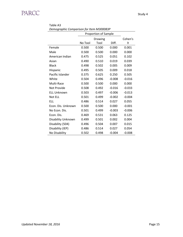| Demographic Comparison for Item M300083P |         |                      |          |          |  |
|------------------------------------------|---------|----------------------|----------|----------|--|
|                                          |         | Proportion of Sample |          |          |  |
|                                          |         | <b>Drawing</b>       |          | Cohen's  |  |
|                                          | No Tool | Tool                 | Diff.    | h        |  |
| Female                                   | 0.500   | 0.500                | 0.000    | 0.001    |  |
| Male                                     | 0.500   | 0.500                | 0.000    | 0.000    |  |
| American Indian                          | 0.475   | 0.525                | 0.051    | 0.102    |  |
| Asian                                    | 0.490   | 0.510                | 0.019    | 0.039    |  |
| <b>Black</b>                             | 0.498   | 0.502                | 0.005    | 0.009    |  |
| Hispanic                                 | 0.495   | 0.505                | 0.009    | 0.018    |  |
| Pacific Islander                         | 0.375   | 0.625                | 0.250    | 0.505    |  |
| White                                    | 0.504   | 0.496                | $-0.008$ | $-0.016$ |  |
| Multi-Race                               | 0.500   | 0.500                | 0.000    | 0.000    |  |
| Not Provide                              | 0.508   | 0.492                | $-0.016$ | $-0.033$ |  |
| <b>ELL Unknown</b>                       | 0.503   | 0.497                | $-0.006$ | $-0.013$ |  |
| Not ELL                                  | 0.501   | 0.499                | $-0.002$ | $-0.004$ |  |
| FLL                                      | 0.486   | 0.514                | 0.027    | 0.055    |  |
| Econ. Dis. Unknown                       | 0.500   | 0.500                | 0.000    | $-0.001$ |  |
| No Econ. Dis.                            | 0.501   | 0.499                | $-0.003$ | $-0.006$ |  |
| Econ. Dis.                               | 0.469   | 0.531                | 0.063    | 0.125    |  |
| Disability Unknown                       | 0.499   | 0.501                | 0.002    | 0.004    |  |
| Disability (504)                         | 0.496   | 0.504                | 0.007    | 0.015    |  |
| Disability (IEP)                         | 0.486   | 0.514                | 0.027    | 0.054    |  |
| No Disability                            | 0.502   | 0.498                | $-0.004$ | $-0.008$ |  |

Table A3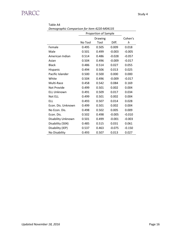| Demographic Comparison for Item 4220-M04135 |                      |         |          |          |  |
|---------------------------------------------|----------------------|---------|----------|----------|--|
|                                             | Proportion of Sample |         |          |          |  |
|                                             |                      | Cohen's |          |          |  |
|                                             | No Tool              | Tool    | Diff.    | h        |  |
| Female                                      | 0.495                | 0.505   | 0.009    | 0.018    |  |
| Male                                        | 0.501                | 0.499   | $-0.003$ | $-0.005$ |  |
| American Indian                             | 0.514                | 0.486   | $-0.028$ | $-0.057$ |  |
| Asian                                       | 0.504                | 0.496   | $-0.009$ | $-0.017$ |  |
| <b>Black</b>                                | 0.486                | 0.514   | 0.027    | 0.055    |  |
| Hispanic                                    | 0.494                | 0.506   | 0.013    | 0.025    |  |
| Pacific Islander                            | 0.500                | 0.500   | 0.000    | 0.000    |  |
| White                                       | 0.504                | 0.496   | $-0.009$ | $-0.017$ |  |
| Multi-Race                                  | 0.458                | 0.542   | 0.084    | 0.169    |  |
| Not Provide                                 | 0.499                | 0.501   | 0.002    | 0.004    |  |
| <b>ELL Unknown</b>                          | 0.491                | 0.509   | 0.017    | 0.034    |  |
| Not ELL                                     | 0.499                | 0.501   | 0.002    | 0.004    |  |
| FLL                                         | 0.493                | 0.507   | 0.014    | 0.028    |  |
| Econ. Dis. Unknown                          | 0.499                | 0.501   | 0.002    | 0.004    |  |
| No Econ. Dis.                               | 0.498                | 0.502   | 0.005    | 0.009    |  |
| Econ. Dis.                                  | 0.502                | 0.498   | $-0.005$ | $-0.010$ |  |
| Disability Unknown                          | 0.501                | 0.499   | $-0.001$ | $-0.003$ |  |
| Disability (504)                            | 0.485                | 0.515   | 0.031    | 0.061    |  |
| Disability (IEP)                            | 0.537                | 0.463   | $-0.075$ | $-0.150$ |  |
| No Disability                               | 0.493                | 0.507   | 0.013    | 0.027    |  |

Table A4